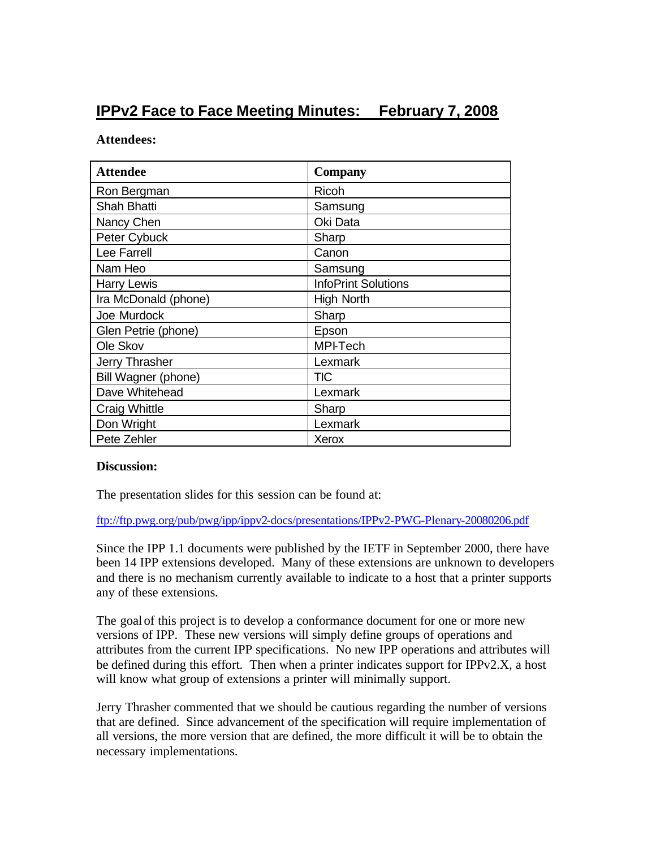## **IPPv2 Face to Face Meeting Minutes: February 7, 2008**

## **Attendees:**

| <b>Attendee</b>       | <b>Company</b>             |
|-----------------------|----------------------------|
| Ron Bergman           | <b>Ricoh</b>               |
| <b>Shah Bhatti</b>    | Samsung                    |
| Nancy Chen            | Oki Data                   |
| Peter Cybuck          | Sharp                      |
| Lee Farrell           | Canon                      |
| Nam Heo               | Samsung                    |
| <b>Harry Lewis</b>    | <b>InfoPrint Solutions</b> |
| Ira McDonald (phone)  | <b>High North</b>          |
| Joe Murdock           | Sharp                      |
| Glen Petrie (phone)   | Epson                      |
| Ole Skov              | <b>MPI-Tech</b>            |
| <b>Jerry Thrasher</b> | Lexmark                    |
| Bill Wagner (phone)   | TIC.                       |
| Dave Whitehead        | Lexmark                    |
| Craig Whittle         | Sharp                      |
| Don Wright            | Lexmark                    |
| Pete Zehler           | Xerox                      |

## **Discussion:**

The presentation slides for this session can be found at:

ftp://ftp.pwg.org/pub/pwg/ipp/ippv2-docs/presentations/IPPv2-PWG-Plenary-20080206.pdf

Since the IPP 1.1 documents were published by the IETF in September 2000, there have been 14 IPP extensions developed. Many of these extensions are unknown to developers and there is no mechanism currently available to indicate to a host that a printer supports any of these extensions.

The goal of this project is to develop a conformance document for one or more new versions of IPP. These new versions will simply define groups of operations and attributes from the current IPP specifications. No new IPP operations and attributes will be defined during this effort. Then when a printer indicates support for IPPv2.X, a host will know what group of extensions a printer will minimally support.

Jerry Thrasher commented that we should be cautious regarding the number of versions that are defined. Since advancement of the specification will require implementation of all versions, the more version that are defined, the more difficult it will be to obtain the necessary implementations.